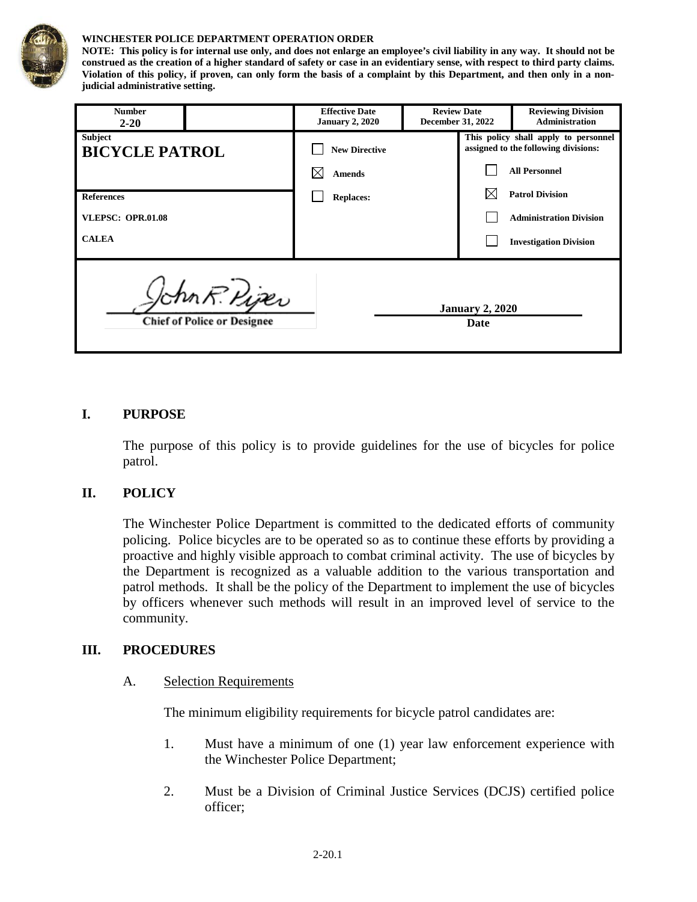

#### **WINCHESTER POLICE DEPARTMENT OPERATION ORDER**

**NOTE: This policy is for internal use only, and does not enlarge an employee's civil liability in any way. It should not be construed as the creation of a higher standard of safety or case in an evidentiary sense, with respect to third party claims. Violation of this policy, if proven, can only form the basis of a complaint by this Department, and then only in a nonjudicial administrative setting.**

| <b>Number</b><br>$2 - 20$                                                             |  | <b>Effective Date</b><br><b>January 2, 2020</b> | <b>Review Date</b><br><b>December 31, 2022</b> |                                                                              | <b>Reviewing Division</b><br>Administration |
|---------------------------------------------------------------------------------------|--|-------------------------------------------------|------------------------------------------------|------------------------------------------------------------------------------|---------------------------------------------|
| <b>Subject</b><br><b>BICYCLE PATROL</b>                                               |  | <b>New Directive</b>                            |                                                | This policy shall apply to personnel<br>assigned to the following divisions: |                                             |
|                                                                                       |  | <b>Amends</b>                                   |                                                |                                                                              | <b>All Personnel</b>                        |
| <b>References</b>                                                                     |  | <b>Replaces:</b>                                |                                                |                                                                              | <b>Patrol Division</b>                      |
| <b>VLEPSC: OPR.01.08</b>                                                              |  |                                                 |                                                |                                                                              | <b>Administration Division</b>              |
| <b>CALEA</b>                                                                          |  |                                                 |                                                |                                                                              | <b>Investigation Division</b>               |
| John R. Piper<br><b>January 2, 2020</b><br><b>Chief of Police or Designee</b><br>Date |  |                                                 |                                                |                                                                              |                                             |

### **I. PURPOSE**

The purpose of this policy is to provide guidelines for the use of bicycles for police patrol.

#### **II. POLICY**

The Winchester Police Department is committed to the dedicated efforts of community policing. Police bicycles are to be operated so as to continue these efforts by providing a proactive and highly visible approach to combat criminal activity. The use of bicycles by the Department is recognized as a valuable addition to the various transportation and patrol methods. It shall be the policy of the Department to implement the use of bicycles by officers whenever such methods will result in an improved level of service to the community.

#### **III. PROCEDURES**

#### A. Selection Requirements

The minimum eligibility requirements for bicycle patrol candidates are:

- 1. Must have a minimum of one (1) year law enforcement experience with the Winchester Police Department;
- 2. Must be a Division of Criminal Justice Services (DCJS) certified police officer;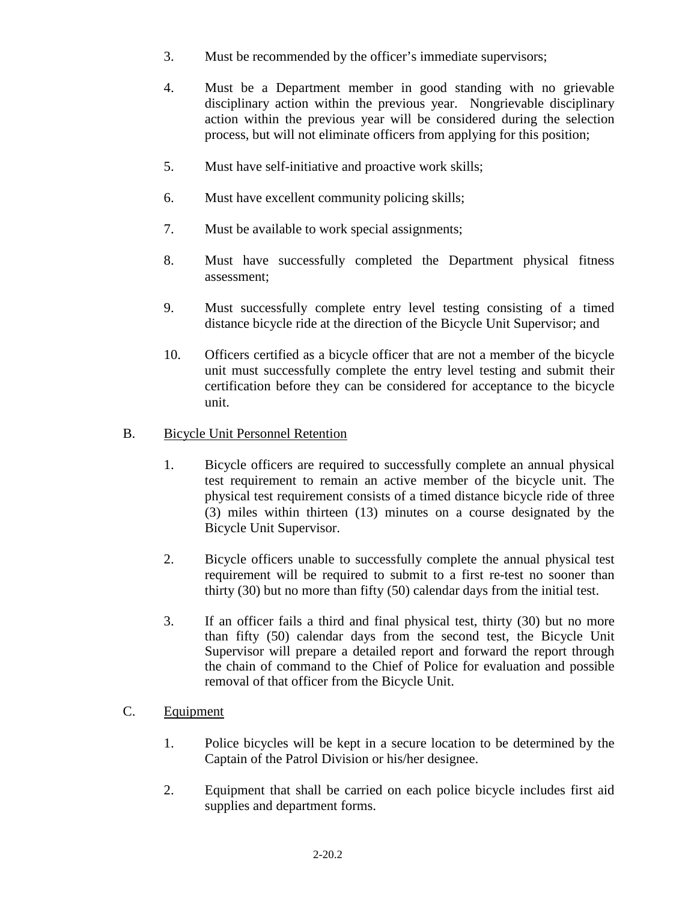- 3. Must be recommended by the officer's immediate supervisors;
- 4. Must be a Department member in good standing with no grievable disciplinary action within the previous year. Nongrievable disciplinary action within the previous year will be considered during the selection process, but will not eliminate officers from applying for this position;
- 5. Must have self-initiative and proactive work skills;
- 6. Must have excellent community policing skills;
- 7. Must be available to work special assignments;
- 8. Must have successfully completed the Department physical fitness assessment;
- 9. Must successfully complete entry level testing consisting of a timed distance bicycle ride at the direction of the Bicycle Unit Supervisor; and
- 10. Officers certified as a bicycle officer that are not a member of the bicycle unit must successfully complete the entry level testing and submit their certification before they can be considered for acceptance to the bicycle unit.
- B. Bicycle Unit Personnel Retention
	- 1. Bicycle officers are required to successfully complete an annual physical test requirement to remain an active member of the bicycle unit. The physical test requirement consists of a timed distance bicycle ride of three (3) miles within thirteen (13) minutes on a course designated by the Bicycle Unit Supervisor.
	- 2. Bicycle officers unable to successfully complete the annual physical test requirement will be required to submit to a first re-test no sooner than thirty (30) but no more than fifty (50) calendar days from the initial test.
	- 3. If an officer fails a third and final physical test, thirty (30) but no more than fifty (50) calendar days from the second test, the Bicycle Unit Supervisor will prepare a detailed report and forward the report through the chain of command to the Chief of Police for evaluation and possible removal of that officer from the Bicycle Unit.
- C. Equipment
	- 1. Police bicycles will be kept in a secure location to be determined by the Captain of the Patrol Division or his/her designee.
	- 2. Equipment that shall be carried on each police bicycle includes first aid supplies and department forms.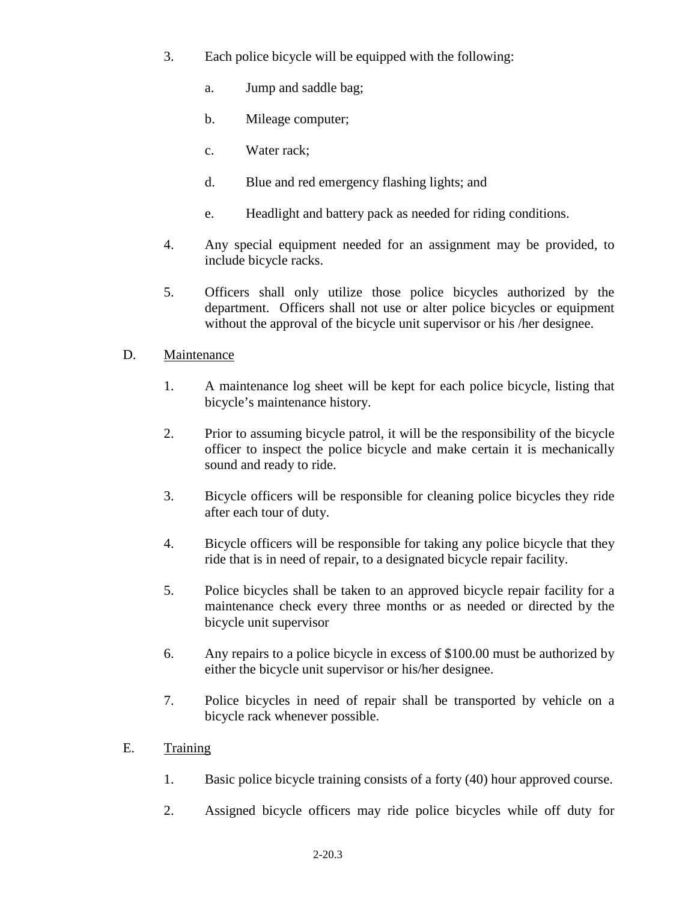- 3. Each police bicycle will be equipped with the following:
	- a. Jump and saddle bag;
	- b. Mileage computer;
	- c. Water rack;
	- d. Blue and red emergency flashing lights; and
	- e. Headlight and battery pack as needed for riding conditions.
- 4. Any special equipment needed for an assignment may be provided, to include bicycle racks.
- 5. Officers shall only utilize those police bicycles authorized by the department. Officers shall not use or alter police bicycles or equipment without the approval of the bicycle unit supervisor or his /her designee.

### D. Maintenance

- 1. A maintenance log sheet will be kept for each police bicycle, listing that bicycle's maintenance history.
- 2. Prior to assuming bicycle patrol, it will be the responsibility of the bicycle officer to inspect the police bicycle and make certain it is mechanically sound and ready to ride.
- 3. Bicycle officers will be responsible for cleaning police bicycles they ride after each tour of duty.
- 4. Bicycle officers will be responsible for taking any police bicycle that they ride that is in need of repair, to a designated bicycle repair facility.
- 5. Police bicycles shall be taken to an approved bicycle repair facility for a maintenance check every three months or as needed or directed by the bicycle unit supervisor
- 6. Any repairs to a police bicycle in excess of \$100.00 must be authorized by either the bicycle unit supervisor or his/her designee.
- 7. Police bicycles in need of repair shall be transported by vehicle on a bicycle rack whenever possible.

## E. Training

- 1. Basic police bicycle training consists of a forty (40) hour approved course.
- 2. Assigned bicycle officers may ride police bicycles while off duty for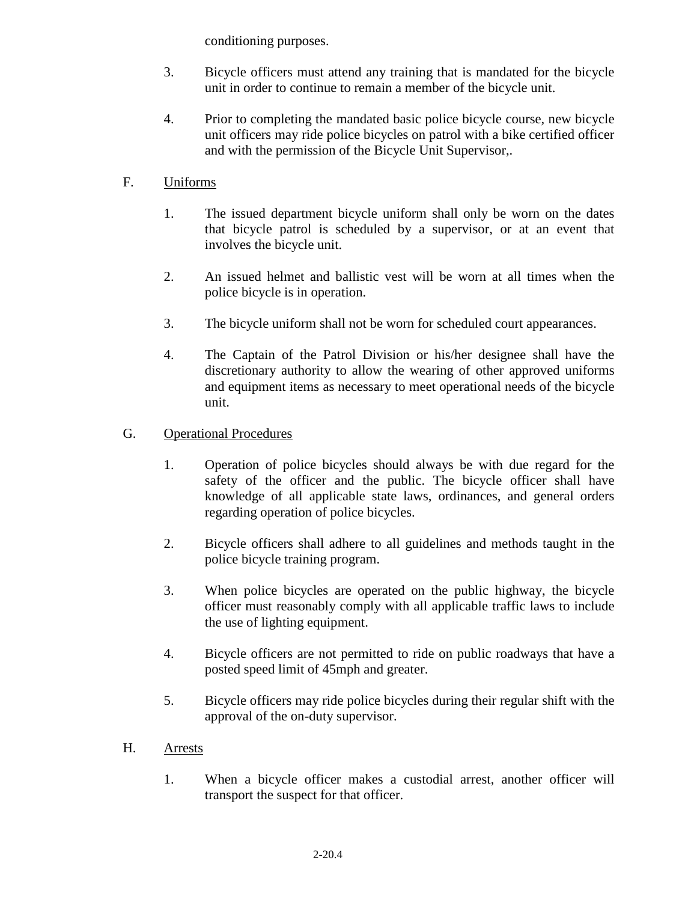conditioning purposes.

- 3. Bicycle officers must attend any training that is mandated for the bicycle unit in order to continue to remain a member of the bicycle unit.
- 4. Prior to completing the mandated basic police bicycle course, new bicycle unit officers may ride police bicycles on patrol with a bike certified officer and with the permission of the Bicycle Unit Supervisor,.

# F. Uniforms

- 1. The issued department bicycle uniform shall only be worn on the dates that bicycle patrol is scheduled by a supervisor, or at an event that involves the bicycle unit.
- 2. An issued helmet and ballistic vest will be worn at all times when the police bicycle is in operation.
- 3. The bicycle uniform shall not be worn for scheduled court appearances.
- 4. The Captain of the Patrol Division or his/her designee shall have the discretionary authority to allow the wearing of other approved uniforms and equipment items as necessary to meet operational needs of the bicycle unit.
- G. Operational Procedures
	- 1. Operation of police bicycles should always be with due regard for the safety of the officer and the public. The bicycle officer shall have knowledge of all applicable state laws, ordinances, and general orders regarding operation of police bicycles.
	- 2. Bicycle officers shall adhere to all guidelines and methods taught in the police bicycle training program.
	- 3. When police bicycles are operated on the public highway, the bicycle officer must reasonably comply with all applicable traffic laws to include the use of lighting equipment.
	- 4. Bicycle officers are not permitted to ride on public roadways that have a posted speed limit of 45mph and greater.
	- 5. Bicycle officers may ride police bicycles during their regular shift with the approval of the on-duty supervisor.
- H. Arrests
	- 1. When a bicycle officer makes a custodial arrest, another officer will transport the suspect for that officer.